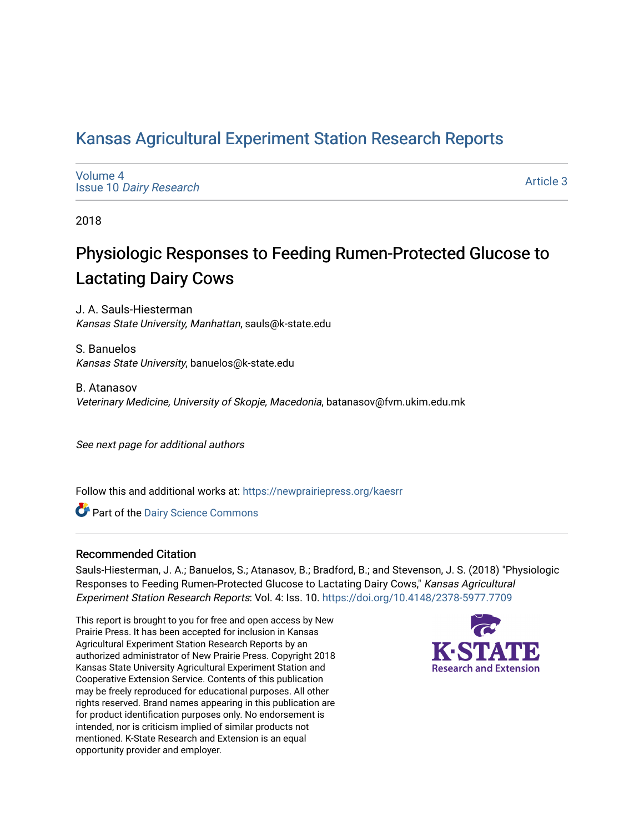# [Kansas Agricultural Experiment Station Research Reports](https://newprairiepress.org/kaesrr)

[Volume 4](https://newprairiepress.org/kaesrr/vol4) Issue 10 [Dairy Research](https://newprairiepress.org/kaesrr/vol4/iss10)

[Article 3](https://newprairiepress.org/kaesrr/vol4/iss10/3) 

2018

# Physiologic Responses to Feeding Rumen-Protected Glucose to Lactating Dairy Cows

J. A. Sauls-Hiesterman Kansas State University, Manhattan, sauls@k-state.edu

S. Banuelos Kansas State University, banuelos@k-state.edu

B. Atanasov Veterinary Medicine, University of Skopje, Macedonia, batanasov@fvm.ukim.edu.mk

See next page for additional authors

Follow this and additional works at: [https://newprairiepress.org/kaesrr](https://newprairiepress.org/kaesrr?utm_source=newprairiepress.org%2Fkaesrr%2Fvol4%2Fiss10%2F3&utm_medium=PDF&utm_campaign=PDFCoverPages) 

Part of the [Dairy Science Commons](http://network.bepress.com/hgg/discipline/79?utm_source=newprairiepress.org%2Fkaesrr%2Fvol4%2Fiss10%2F3&utm_medium=PDF&utm_campaign=PDFCoverPages) 

#### Recommended Citation

Sauls-Hiesterman, J. A.; Banuelos, S.; Atanasov, B.; Bradford, B.; and Stevenson, J. S. (2018) "Physiologic Responses to Feeding Rumen-Protected Glucose to Lactating Dairy Cows," Kansas Agricultural Experiment Station Research Reports: Vol. 4: Iss. 10. <https://doi.org/10.4148/2378-5977.7709>

This report is brought to you for free and open access by New Prairie Press. It has been accepted for inclusion in Kansas Agricultural Experiment Station Research Reports by an authorized administrator of New Prairie Press. Copyright 2018 Kansas State University Agricultural Experiment Station and Cooperative Extension Service. Contents of this publication may be freely reproduced for educational purposes. All other rights reserved. Brand names appearing in this publication are for product identification purposes only. No endorsement is intended, nor is criticism implied of similar products not mentioned. K-State Research and Extension is an equal opportunity provider and employer.

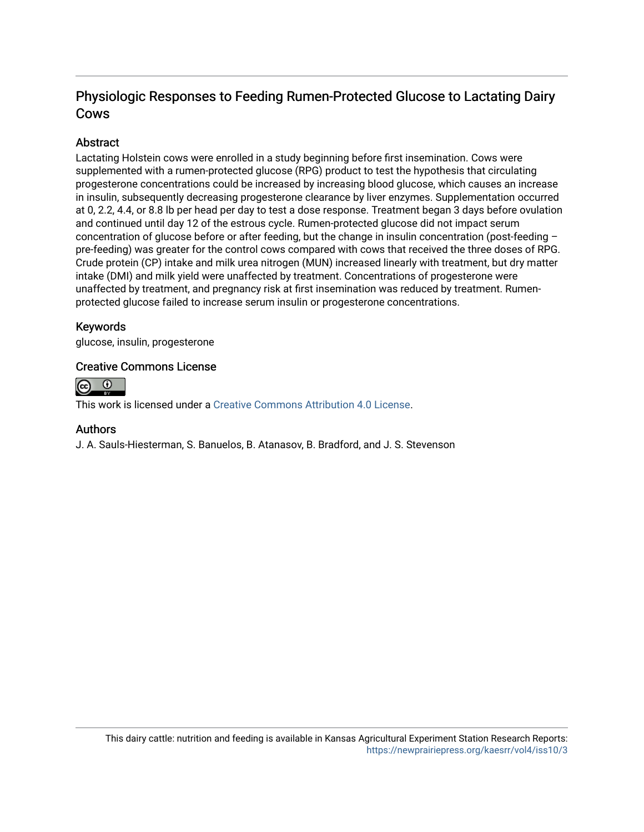# Physiologic Responses to Feeding Rumen-Protected Glucose to Lactating Dairy Cows

## Abstract

Lactating Holstein cows were enrolled in a study beginning before first insemination. Cows were supplemented with a rumen-protected glucose (RPG) product to test the hypothesis that circulating progesterone concentrations could be increased by increasing blood glucose, which causes an increase in insulin, subsequently decreasing progesterone clearance by liver enzymes. Supplementation occurred at 0, 2.2, 4.4, or 8.8 lb per head per day to test a dose response. Treatment began 3 days before ovulation and continued until day 12 of the estrous cycle. Rumen-protected glucose did not impact serum concentration of glucose before or after feeding, but the change in insulin concentration (post-feeding – pre-feeding) was greater for the control cows compared with cows that received the three doses of RPG. Crude protein (CP) intake and milk urea nitrogen (MUN) increased linearly with treatment, but dry matter intake (DMI) and milk yield were unaffected by treatment. Concentrations of progesterone were unaffected by treatment, and pregnancy risk at first insemination was reduced by treatment. Rumenprotected glucose failed to increase serum insulin or progesterone concentrations.

### Keywords

glucose, insulin, progesterone

### Creative Commons License



This work is licensed under a [Creative Commons Attribution 4.0 License](https://creativecommons.org/licenses/by/4.0/).

#### Authors

J. A. Sauls-Hiesterman, S. Banuelos, B. Atanasov, B. Bradford, and J. S. Stevenson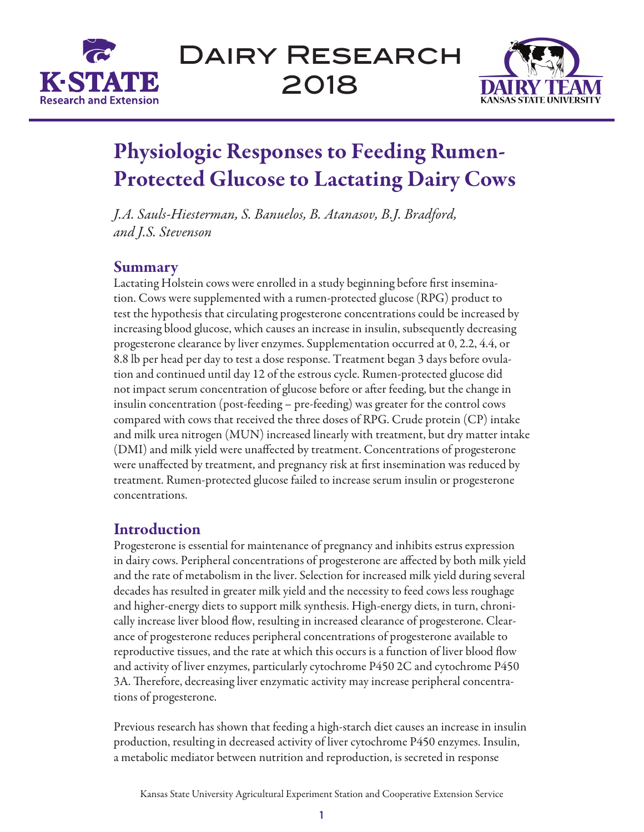



# Physiologic Responses to Feeding Rumen-Protected Glucose to Lactating Dairy Cows

*J.A. Sauls-Hiesterman, S. Banuelos, B. Atanasov, B.J. Bradford, and J.S. Stevenson*

# **Summary**

Lactating Holstein cows were enrolled in a study beginning before first insemination. Cows were supplemented with a rumen-protected glucose (RPG) product to test the hypothesis that circulating progesterone concentrations could be increased by increasing blood glucose, which causes an increase in insulin, subsequently decreasing progesterone clearance by liver enzymes. Supplementation occurred at 0, 2.2, 4.4, or 8.8 lb per head per day to test a dose response. Treatment began 3 days before ovulation and continued until day 12 of the estrous cycle. Rumen-protected glucose did not impact serum concentration of glucose before or after feeding, but the change in insulin concentration (post-feeding – pre-feeding) was greater for the control cows compared with cows that received the three doses of RPG. Crude protein (CP) intake and milk urea nitrogen (MUN) increased linearly with treatment, but dry matter intake (DMI) and milk yield were unaffected by treatment. Concentrations of progesterone were unaffected by treatment, and pregnancy risk at first insemination was reduced by treatment. Rumen-protected glucose failed to increase serum insulin or progesterone concentrations.

# Introduction

Progesterone is essential for maintenance of pregnancy and inhibits estrus expression in dairy cows. Peripheral concentrations of progesterone are affected by both milk yield and the rate of metabolism in the liver. Selection for increased milk yield during several decades has resulted in greater milk yield and the necessity to feed cows less roughage and higher-energy diets to support milk synthesis. High-energy diets, in turn, chronically increase liver blood flow, resulting in increased clearance of progesterone. Clearance of progesterone reduces peripheral concentrations of progesterone available to reproductive tissues, and the rate at which this occurs is a function of liver blood flow and activity of liver enzymes, particularly cytochrome P450 2C and cytochrome P450 3A. Therefore, decreasing liver enzymatic activity may increase peripheral concentrations of progesterone.

Previous research has shown that feeding a high-starch diet causes an increase in insulin production, resulting in decreased activity of liver cytochrome P450 enzymes. Insulin, a metabolic mediator between nutrition and reproduction, is secreted in response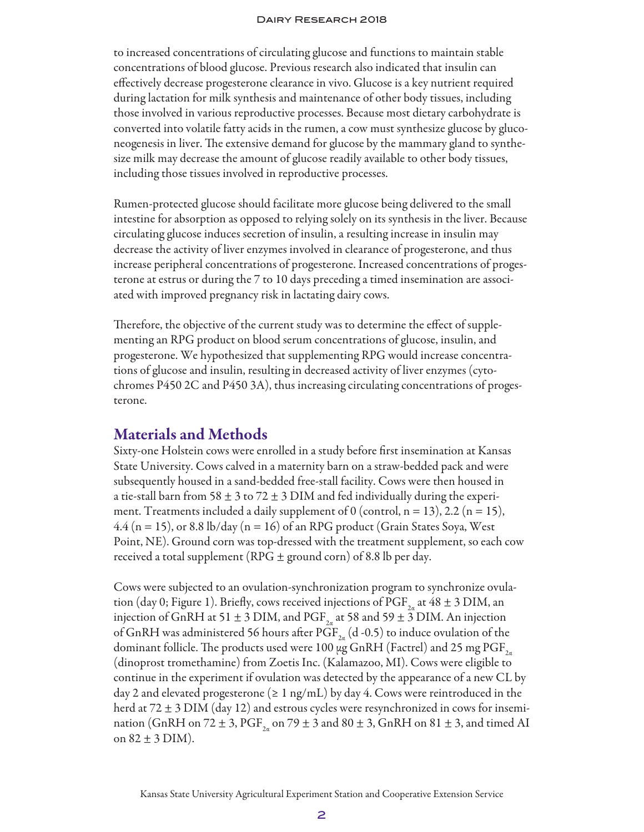to increased concentrations of circulating glucose and functions to maintain stable concentrations of blood glucose. Previous research also indicated that insulin can effectively decrease progesterone clearance in vivo. Glucose is a key nutrient required during lactation for milk synthesis and maintenance of other body tissues, including those involved in various reproductive processes. Because most dietary carbohydrate is converted into volatile fatty acids in the rumen, a cow must synthesize glucose by gluconeogenesis in liver. The extensive demand for glucose by the mammary gland to synthesize milk may decrease the amount of glucose readily available to other body tissues, including those tissues involved in reproductive processes.

Rumen-protected glucose should facilitate more glucose being delivered to the small intestine for absorption as opposed to relying solely on its synthesis in the liver. Because circulating glucose induces secretion of insulin, a resulting increase in insulin may decrease the activity of liver enzymes involved in clearance of progesterone, and thus increase peripheral concentrations of progesterone. Increased concentrations of progesterone at estrus or during the 7 to 10 days preceding a timed insemination are associated with improved pregnancy risk in lactating dairy cows.

Therefore, the objective of the current study was to determine the effect of supplementing an RPG product on blood serum concentrations of glucose, insulin, and progesterone. We hypothesized that supplementing RPG would increase concentrations of glucose and insulin, resulting in decreased activity of liver enzymes (cytochromes P450 2C and P450 3A), thus increasing circulating concentrations of progesterone.

# Materials and Methods

Sixty-one Holstein cows were enrolled in a study before first insemination at Kansas State University. Cows calved in a maternity barn on a straw-bedded pack and were subsequently housed in a sand-bedded free-stall facility. Cows were then housed in a tie-stall barn from 58  $\pm$  3 to 72  $\pm$  3 DIM and fed individually during the experiment. Treatments included a daily supplement of 0 (control,  $n = 13$ ), 2.2 ( $n = 15$ ),  $4.4$  (n = 15), or 8.8 lb/day (n = 16) of an RPG product (Grain States Soya, West Point, NE). Ground corn was top-dressed with the treatment supplement, so each cow received a total supplement (RPG  $\pm$  ground corn) of 8.8 lb per day.

Cows were subjected to an ovulation-synchronization program to synchronize ovulation (day 0; Figure 1). Briefly, cows received injections of PGF<sub>2α</sub> at 48  $\pm$  3 DIM, an injection of GnRH at 51  $\pm$  3 DIM, and PGF<sub>2a</sub> at 58 and 59  $\pm$  3 DIM. An injection of GnRH was administered 56 hours after PGF<sub>2a</sub> (d -0.5) to induce ovulation of the dominant follicle. The products used were 100  $\mu$ g GnRH (Factrel) and 25 mg PGF $_{2a}$ (dinoprost tromethamine) from Zoetis Inc. (Kalamazoo, MI). Cows were eligible to continue in the experiment if ovulation was detected by the appearance of a new CL by day 2 and elevated progesterone ( $\geq 1$  ng/mL) by day 4. Cows were reintroduced in the herd at  $72 \pm 3$  DIM (day 12) and estrous cycles were resynchronized in cows for insemination (GnRH on 72  $\pm$  3, PGF<sub>2n</sub> on 79  $\pm$  3 and 80  $\pm$  3, GnRH on 81  $\pm$  3, and timed AI on  $82 \pm 3$  DIM).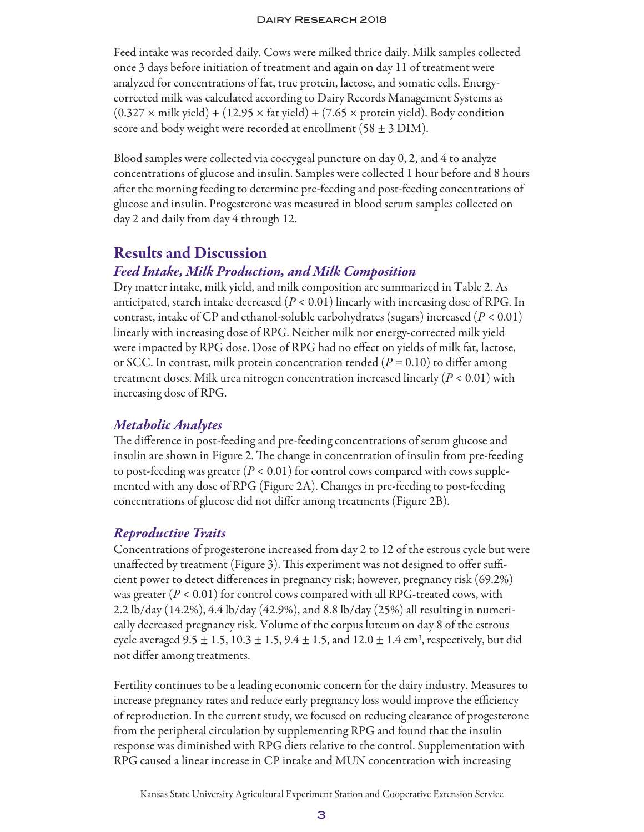Feed intake was recorded daily. Cows were milked thrice daily. Milk samples collected once 3 days before initiation of treatment and again on day 11 of treatment were analyzed for concentrations of fat, true protein, lactose, and somatic cells. Energycorrected milk was calculated according to Dairy Records Management Systems as  $(0.327 \times \text{milk yield}) + (12.95 \times \text{fat yield}) + (7.65 \times \text{protein yield})$ . Body condition score and body weight were recorded at enrollment (58  $\pm$  3 DIM).

Blood samples were collected via coccygeal puncture on day 0, 2, and 4 to analyze concentrations of glucose and insulin. Samples were collected 1 hour before and 8 hours after the morning feeding to determine pre-feeding and post-feeding concentrations of glucose and insulin. Progesterone was measured in blood serum samples collected on day 2 and daily from day 4 through 12.

# Results and Discussion

## *Feed Intake, Milk Production, and Milk Composition*

Dry matter intake, milk yield, and milk composition are summarized in Table 2. As anticipated, starch intake decreased (*P* < 0.01) linearly with increasing dose of RPG. In contrast, intake of CP and ethanol-soluble carbohydrates (sugars) increased  $(P < 0.01)$ linearly with increasing dose of RPG. Neither milk nor energy-corrected milk yield were impacted by RPG dose. Dose of RPG had no effect on yields of milk fat, lactose, or SCC. In contrast, milk protein concentration tended (*P* = 0.10) to differ among treatment doses. Milk urea nitrogen concentration increased linearly (*P* < 0.01) with increasing dose of RPG.

### *Metabolic Analytes*

The difference in post-feeding and pre-feeding concentrations of serum glucose and insulin are shown in Figure 2. The change in concentration of insulin from pre-feeding to post-feeding was greater  $(P < 0.01)$  for control cows compared with cows supplemented with any dose of RPG (Figure 2A). Changes in pre-feeding to post-feeding concentrations of glucose did not differ among treatments (Figure 2B).

### *Reproductive Traits*

Concentrations of progesterone increased from day 2 to 12 of the estrous cycle but were unaffected by treatment (Figure 3). This experiment was not designed to offer sufficient power to detect differences in pregnancy risk; however, pregnancy risk (69.2%) was greater  $(P < 0.01)$  for control cows compared with all RPG-treated cows, with 2.2 lb/day (14.2%), 4.4 lb/day (42.9%), and 8.8 lb/day (25%) all resulting in numerically decreased pregnancy risk. Volume of the corpus luteum on day 8 of the estrous cycle averaged 9.5  $\pm$  1.5, 10.3  $\pm$  1.5, 9.4  $\pm$  1.5, and 12.0  $\pm$  1.4 cm<sup>3</sup>, respectively, but did not differ among treatments.

Fertility continues to be a leading economic concern for the dairy industry. Measures to increase pregnancy rates and reduce early pregnancy loss would improve the efficiency of reproduction. In the current study, we focused on reducing clearance of progesterone from the peripheral circulation by supplementing RPG and found that the insulin response was diminished with RPG diets relative to the control. Supplementation with RPG caused a linear increase in CP intake and MUN concentration with increasing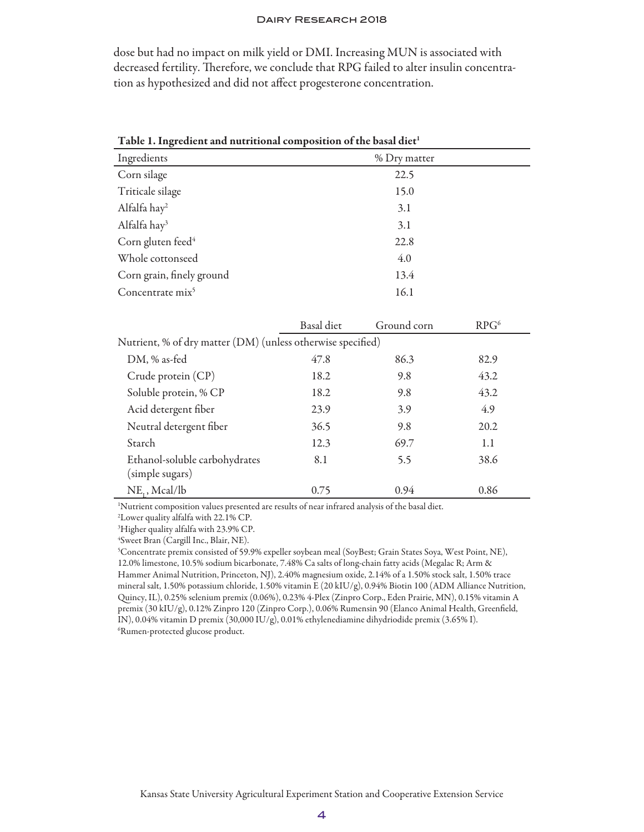dose but had no impact on milk yield or DMI. Increasing MUN is associated with decreased fertility. Therefore, we conclude that RPG failed to alter insulin concentration as hypothesized and did not affect progesterone concentration.

| Ingredients                                                 | % Dry matter      |             |                  |  |  |  |  |  |
|-------------------------------------------------------------|-------------------|-------------|------------------|--|--|--|--|--|
| Corn silage                                                 |                   | 22.5        |                  |  |  |  |  |  |
| Triticale silage                                            |                   | 15.0        |                  |  |  |  |  |  |
| Alfalfa hay <sup>2</sup>                                    |                   | 3.1         |                  |  |  |  |  |  |
| Alfalfa hay <sup>3</sup>                                    |                   | 3.1         |                  |  |  |  |  |  |
| Corn gluten feed <sup>4</sup>                               |                   | 22.8        |                  |  |  |  |  |  |
| Whole cottonseed                                            |                   | 4.0         |                  |  |  |  |  |  |
| Corn grain, finely ground                                   |                   | 13.4        |                  |  |  |  |  |  |
| Concentrate mix <sup>5</sup>                                |                   | 16.1        |                  |  |  |  |  |  |
|                                                             |                   |             |                  |  |  |  |  |  |
|                                                             | <b>Basal</b> diet | Ground corn | RPG <sup>6</sup> |  |  |  |  |  |
| Nutrient, % of dry matter (DM) (unless otherwise specified) |                   |             |                  |  |  |  |  |  |
| DM, % as-fed                                                | 47.8              | 86.3        | 82.9             |  |  |  |  |  |
| Crude protein (CP)                                          | 18.2              | 9.8         | 43.2             |  |  |  |  |  |
| Soluble protein, % CP                                       | 18.2              | 9.8         | 43.2             |  |  |  |  |  |
| Acid detergent fiber                                        | 23.9              | 3.9         | 4.9              |  |  |  |  |  |
| Neutral detergent fiber                                     | 36.5              | 9.8         | 20.2             |  |  |  |  |  |
| Starch                                                      | 12.3              | 69.7        | 1.1              |  |  |  |  |  |
| Ethanol-soluble carbohydrates                               | 8.1               | 5.5         | 38.6             |  |  |  |  |  |
| (simple sugars)                                             |                   |             |                  |  |  |  |  |  |
| $NE_{1}$ , Mcal/lb                                          | 0.75              | 0.94        | 0.86             |  |  |  |  |  |

Table 1. Ingredient and nutritional composition of the basal diet<sup>1</sup>

1 Nutrient composition values presented are results of near infrared analysis of the basal diet.

2 Lower quality alfalfa with 22.1% CP.

3 Higher quality alfalfa with 23.9% CP.

4 Sweet Bran (Cargill Inc., Blair, NE).

5 Concentrate premix consisted of 59.9% expeller soybean meal (SoyBest; Grain States Soya, West Point, NE), 12.0% limestone, 10.5% sodium bicarbonate, 7.48% Ca salts of long-chain fatty acids (Megalac R; Arm & Hammer Animal Nutrition, Princeton, NJ), 2.40% magnesium oxide, 2.14% of a 1.50% stock salt, 1.50% trace mineral salt, 1.50% potassium chloride, 1.50% vitamin E (20 kIU/g), 0.94% Biotin 100 (ADM Alliance Nutrition, Quincy, IL), 0.25% selenium premix (0.06%), 0.23% 4-Plex (Zinpro Corp., Eden Prairie, MN), 0.15% vitamin A premix (30 kIU/g), 0.12% Zinpro 120 (Zinpro Corp.), 0.06% Rumensin 90 (Elanco Animal Health, Greenfield, IN), 0.04% vitamin D premix (30,000 IU/g), 0.01% ethylenediamine dihydriodide premix (3.65% I). 6 Rumen-protected glucose product.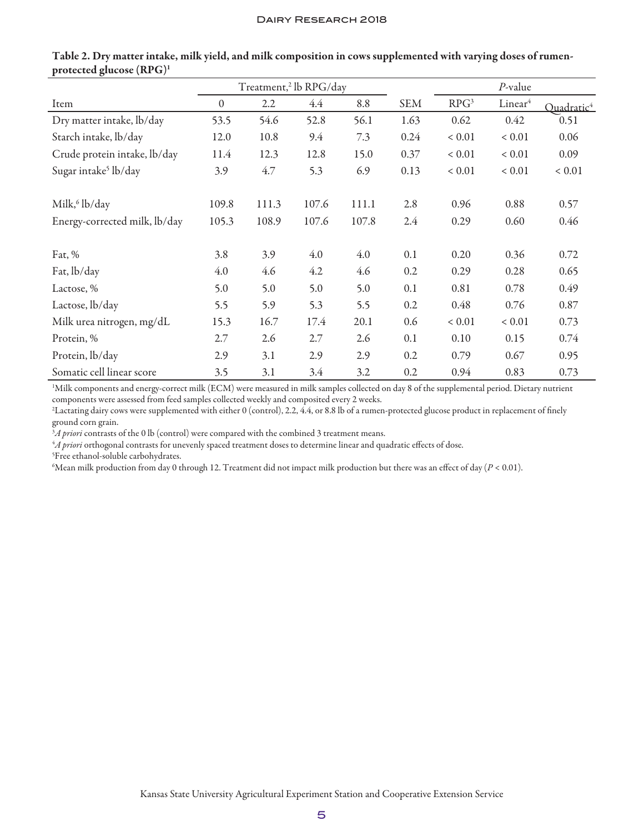|                                  | Treatment, <sup>2</sup> lb RPG/day |       |       |       |            | $P$ -value       |                     |                        |
|----------------------------------|------------------------------------|-------|-------|-------|------------|------------------|---------------------|------------------------|
| Item                             | $\theta$                           | 2.2   | 4.4   | 8.8   | <b>SEM</b> | RPG <sup>3</sup> | Linear <sup>4</sup> | Quadratic <sup>4</sup> |
| Dry matter intake, lb/day        | 53.5                               | 54.6  | 52.8  | 56.1  | 1.63       | 0.62             | 0.42                | 0.51                   |
| Starch intake, lb/day            | 12.0                               | 10.8  | 9.4   | 7.3   | 0.24       | ${}< 0.01$       | ${}< 0.01$          | 0.06                   |
| Crude protein intake, lb/day     | 11.4                               | 12.3  | 12.8  | 15.0  | 0.37       | ${}< 0.01$       | ${}< 0.01$          | 0.09                   |
| Sugar intake <sup>5</sup> lb/day | 3.9                                | 4.7   | 5.3   | 6.9   | 0.13       | ${}< 0.01$       | ${}< 0.01$          | ${}< 0.01$             |
| Milk, <sup>6</sup> lb/day        | 109.8                              | 111.3 | 107.6 | 111.1 | 2.8        | 0.96             | 0.88                | 0.57                   |
| Energy-corrected milk, lb/day    | 105.3                              | 108.9 | 107.6 | 107.8 | 2.4        | 0.29             | 0.60                | 0.46                   |
| Fat, $%$                         | 3.8                                | 3.9   | 4.0   | 4.0   | 0.1        | 0.20             | 0.36                | 0.72                   |
| Fat, lb/day                      | 4.0                                | 4.6   | 4.2   | 4.6   | 0.2        | 0.29             | 0.28                | 0.65                   |
| Lactose, %                       | 5.0                                | 5.0   | 5.0   | 5.0   | 0.1        | 0.81             | 0.78                | 0.49                   |
| Lactose, lb/day                  | 5.5                                | 5.9   | 5.3   | 5.5   | 0.2        | 0.48             | 0.76                | 0.87                   |
| Milk urea nitrogen, mg/dL        | 15.3                               | 16.7  | 17.4  | 20.1  | 0.6        | ${}< 0.01$       | ${}< 0.01$          | 0.73                   |
| Protein, %                       | 2.7                                | 2.6   | 2.7   | 2.6   | 0.1        | 0.10             | 0.15                | 0.74                   |
| Protein, lb/day                  | 2.9                                | 3.1   | 2.9   | 2.9   | 0.2        | 0.79             | 0.67                | 0.95                   |
| Somatic cell linear score        | 3.5                                | 3.1   | 3.4   | 3.2   | 0.2        | 0.94             | 0.83                | 0.73                   |

Table 2. Dry matter intake, milk yield, and milk composition in cows supplemented with varying doses of rumenprotected glucose (RPG)1

1 Milk components and energy-correct milk (ECM) were measured in milk samples collected on day 8 of the supplemental period. Dietary nutrient components were assessed from feed samples collected weekly and composited every 2 weeks.

2 Lactating dairy cows were supplemented with either 0 (control), 2.2, 4.4, or 8.8 lb of a rumen-protected glucose product in replacement of finely ground corn grain.

 $^3\!A$  *priori* contrasts of the 0 lb (control) were compared with the combined 3 treatment means.

4 *A priori* orthogonal contrasts for unevenly spaced treatment doses to determine linear and quadratic effects of dose.

5 Free ethanol-soluble carbohydrates.

6 Mean milk production from day 0 through 12. Treatment did not impact milk production but there was an effect of day (*P* < 0.01).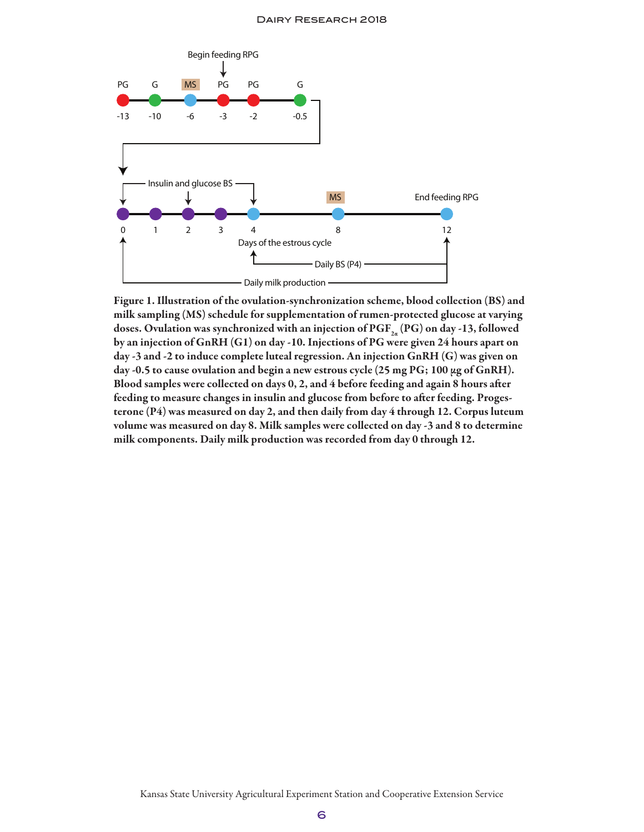

Figure 1. Illustration of the ovulation-synchronization scheme, blood collection (BS) and milk sampling (MS) schedule for supplementation of rumen-protected glucose at varying doses. Ovulation was synchronized with an injection of  $\mathrm{PGF}_{_{2a}}(\mathrm{PG})$  on day -13, followed by an injection of GnRH (G1) on day -10. Injections of PG were given 24 hours apart on day -3 and -2 to induce complete luteal regression. An injection GnRH (G) was given on day -0.5 to cause ovulation and begin a new estrous cycle (25 mg PG; 100  $\mu$ g of GnRH). Blood samples were collected on days 0, 2, and 4 before feeding and again 8 hours after feeding to measure changes in insulin and glucose from before to after feeding. Progesterone (P4) was measured on day 2, and then daily from day 4 through 12. Corpus luteum volume was measured on day 8. Milk samples were collected on day -3 and 8 to determine milk components. Daily milk production was recorded from day 0 through 12.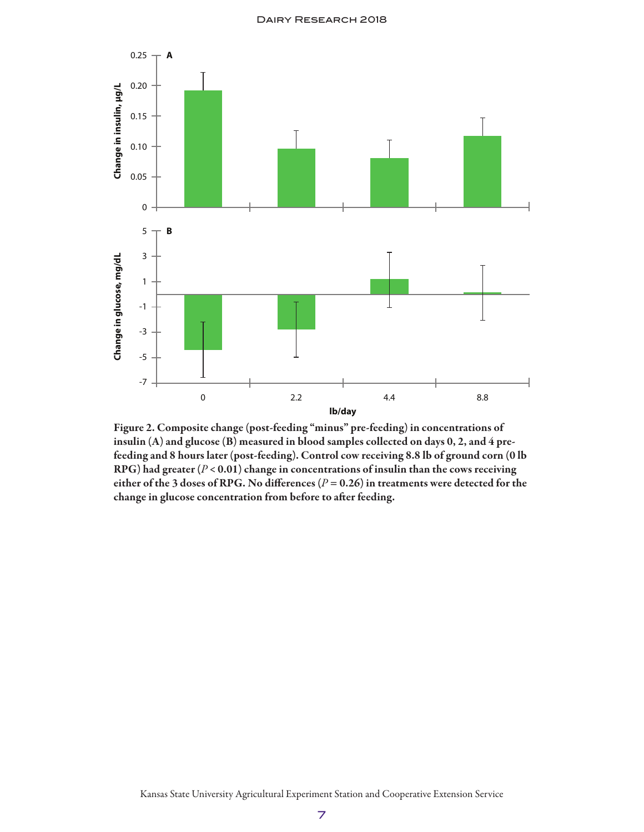

Figure 2. Composite change (post-feeding "minus" pre-feeding) in concentrations of insulin (A) and glucose (B) measured in blood samples collected on days 0, 2, and 4 prefeeding and 8 hours later (post-feeding). Control cow receiving 8.8 lb of ground corn (0 lb RPG) had greater (*P* < 0.01) change in concentrations of insulin than the cows receiving either of the 3 doses of RPG. No differences  $(P = 0.26)$  in treatments were detected for the change in glucose concentration from before to after feeding.